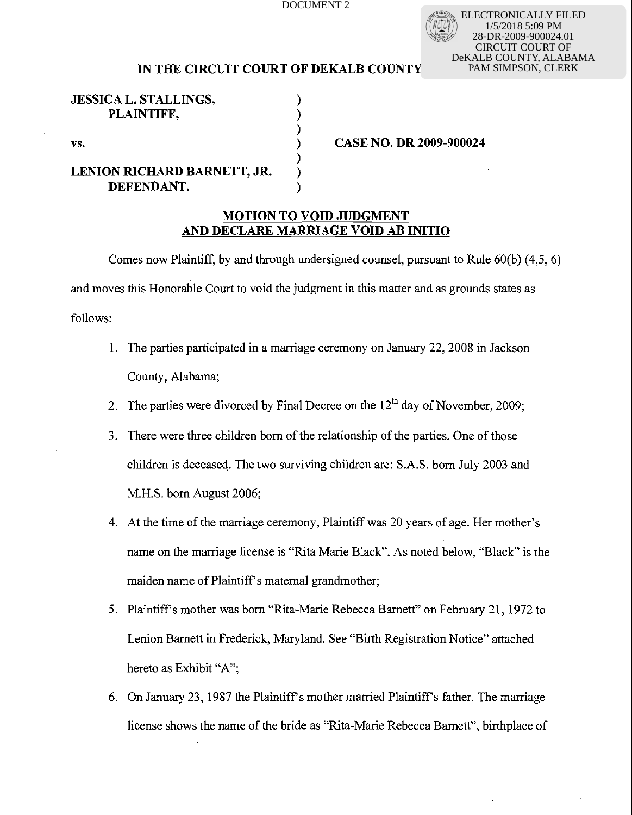ELECTRONICALLY FILED 1/5/2018 5:09 PM 28-DR-2009-900024.01 CIRCUIT COURT OF DeKALB COUNTY, ALABAMA PAM SIMPSON, CLERK

## **IN THE CIRCUIT COURT OF DEKALB COUNTY**

 $\sum_{i=1}^{n}$ 

 $\sum_{i=1}^{n}$ 

**JESSICA L. STALLINGS, PLAINTIFF,** 

# **LENION RICHARD BARNETT, JR.** ) **DEFENDANT.**

vs. **1 <b>CASE NO. DR 2009-900024** 

## **MOTION TO VOlD JUDGMENT AND DECLARE MARRIAGE VOlD AB INlTlO**

Comes now Plaintiff, by and through undersigned counsel, pursuant to Rule  $60(b)$  (4.5, 6) and moves this Honorable Court to void the judgment in this matter and as grounds states as follows:

- 1. The parties participated in a marriage ceremony on January 22, 2008 in Jackson County, Alabama;
- 2. The parties were divorced by Final Decree on the  $12<sup>th</sup>$  day of November, 2009;
- 3. There were three children born of the relationship of the parties. One of those children is deceased. The two surviving children are: S.A.S. born July 2003 and M.H.S. born August 2006;
- 4. At the time of the marriage ceremony, Plaintiff was 20 years of age. Her mother's name on the marriage license is "Rita Marie Black". As noted below, "Black" is the maiden name of Plaintiff's maternal grandmother;
- 5. Plaintiffs mother was born "Rita-Marie Rebecca Bamett" on February 21, 1972 to Lenion Bamett in Frederick, Maryland. See "Birth Registration Notice" attached hereto as Exhibit "A";
- 6. On January 23, 1987 the Plaintiff's mother married Plaintiff's father. The marriage license shows the name of the bride as "Rita-Marie Rebecca Barnett", birthplace of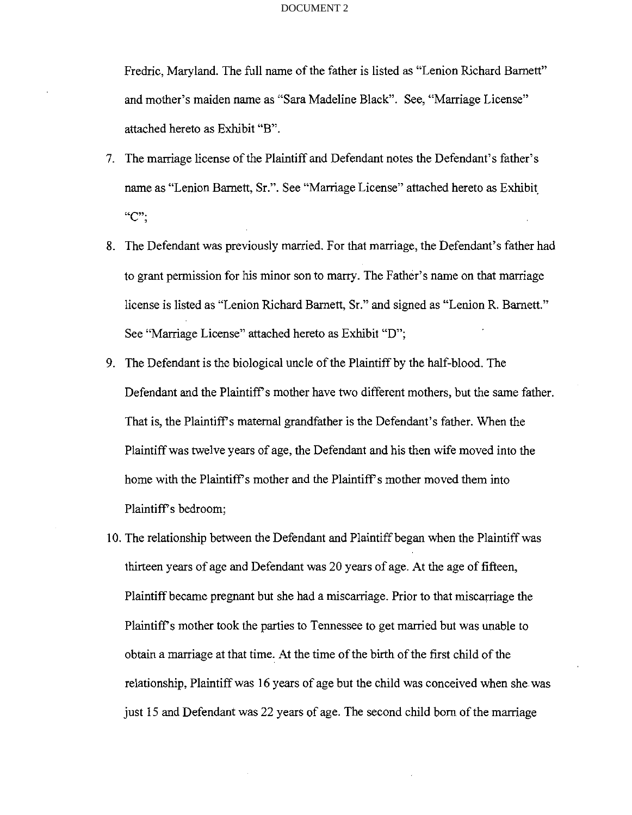Fredric, Maryland. The full name of the father is listed as "Lenion Richard Bamett" and mother's maiden name as "Sara Madeline Black". See, "Marriage License" attached hereto as Exhibit "B".

- 7. The marriage license of the Plaintiff and Defendant notes the Defendant's father's name as "Lenion Barnett, Sr.". See "Marriage License" attached hereto as Exhibit  $C$ ";
- 8. The Defendant was previously married. For that marriage, the Defendant's father had to grant permission for his minor son to marry. The Father's name on that marriage license is listed as "Lenion Richard Barnett, Sr." and signed as "Lenion R. Bamett." See "Marriage License" attached hereto as Exhibit "D";
- 9. The Defendant is the biological uncle of the Plaintiff by the half-blood. The Defendant and the Plaintiff's mother have two different mothers, but the same father. That is, the Plaintiffs maternal grandfather is the Defendant's father. When the Plaintiff was twelve years of age, the Defendant and his then wife moved into the home with the Plaintiff's mother and the Plaintiff's mother moved them into Plaintiff's bedroom;
- 10. The relationship between the Defendant and Plaintiff began when the Plaintiff was thirteen years of age and Defendant was 20 years of age. At the age of fifteen, Plaintiff became pregnant but she had a miscarriage. Prior to that miscarriage the Plaintiff's mother took the parties to Tennessee to get married but was unable to obtain a marriage at that time. At the time of the birth of the first child of the relationship, Plaintiff was 16 years of age but the child was conceived when she was just 15 and Defendant was 22 years of age. The second child born of the marriage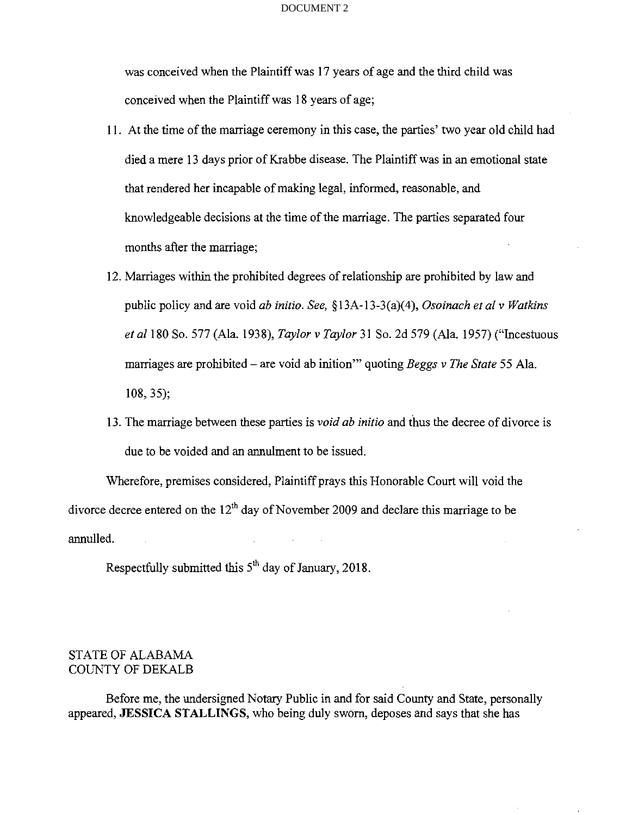was conceived when the Plaintiff was 17 years of age and the third child was conceived when the Plaintiff was 18 years of age;

- 1 1. At the time of the marriage ceremony in this case, the parties' two year old child had died a mere 13 days prior of Krabbe disease. The Plaintiff was in an emotional state that rendered her incapable of making legal, informed, reasonable, and knowledgeable decisions at the time of the marriage. The parties separated four months after the marriage;
- 12. Marriages within the prohibited degrees of relationship are prohibited by law and public policy and are void *ab initio. See,* **8** 13A-13-3(a)(4), *Osoinuch et al v Watkins et* all80 So. 577 (Ala. 1938), *Taylor v Taylor* 31 So. 2d 579 (Ala. 1957) ("Incestuous marriages are prohibited – are void ab inition'" quoting *Beggs v The State* 55 Ala. 108, 35);
- 13. The marriage between these parties is *void ab initio* and thus the decree of divorce is due to be voided and an annulment to be issued.

Wherefore, premises considered, Plaintiff prays this Honorable Court will void the divorce decree entered on the  $12<sup>th</sup>$  day of November 2009 and declare this marriage to be annulled.

Respectfully submitted this  $5<sup>th</sup>$  day of January, 2018.

# STATE OF ALABAMA COUNTY OF DEKALB

Before me, the undersigned Notary Public in and for said County and State, personally appeared, JESSICA STALLINGS, who being duly sworn, deposes and says that she has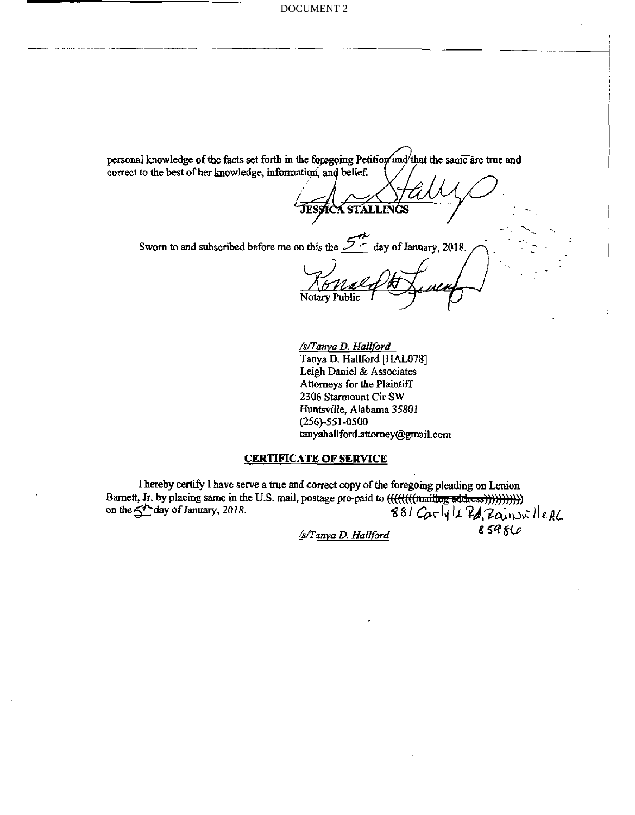personal knowledge of the facts set forth in the foregoing Petition and that the same are true and correct to the best of her knowledge, information, and belief.

JESSICA STALLINGS

Sworn to and subscribed before me on this the  $\mathcal{L}$  day of January, 2018.

*/s/Tanva D. HalWbrd*  Tanya D. Hallford **[HAL078]** Leigh Daniel & Associates Attorneys for the Plaintiff **2306** Starmount Cir **SW**  Huntsville, Alabama **35801 (256)-55 1-0500 tanyahallford.attorney@gmail.com** 

### **CERTIFICATE OF SERVICE**

I hereby certify I have serve a true and correct copy of the foregoing pleading on Lenion Bamett, Jr. by placing same in the U.S. mail, postage prepaid to . . Barnett, Jr. by placing same in the U.S. mail, postage pre-paid to (<del>((((((((mailing addicss))))))))))</del>))<br>on the  $\leq t$  day of January, 2018. <del>(((((((mailing addicss))))))))))</del>)<br>881 Carly Le Pd, Zainsville AL

*/s/Tanva D. Hailford* **S 5'?** 8b

- ' . -. - -.

I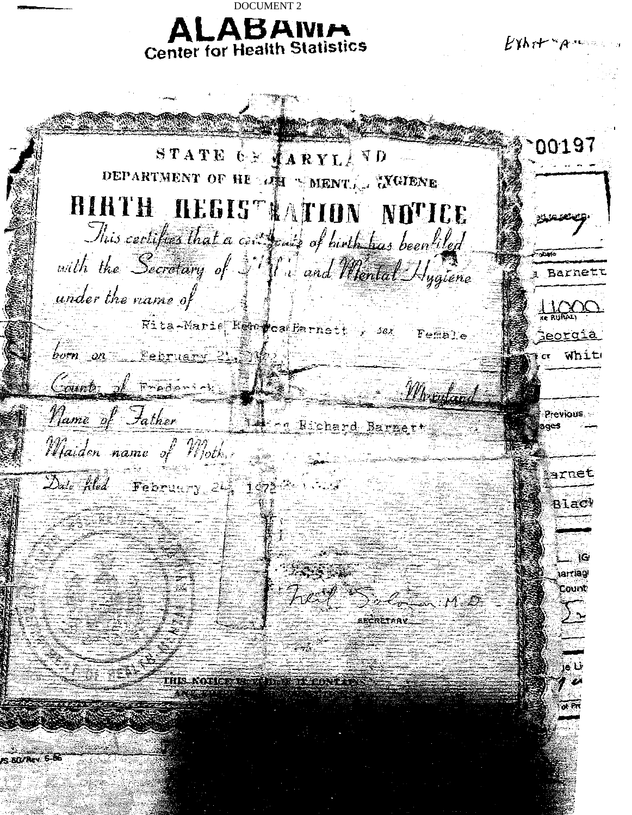**BOCUMENT 2**<br>**ALABAIVER-19 Center for Health Statisles**  DOCUMENT 2

 $E$ yh r $+$  " $A$ "

100197 STATE GE FARYLAND DEPARTMENT OF HE AND SMENTA TYGIENE BIRTH REGIST ATION NOTICE ومتعصبين This certifies that a certificate of birth has been lifed with the Secretary of Silf and Mental Hygiene a Barnet under the name of Rita-Marie Recepted Parnett , sex Female Georgia born on February 21, 54 Whit Count of Frederick Montano Name of Father 19 Pather Previous Maiden name of Mother arnet  $\Delta$ ute filed February 24, 1972  $Blac$ 1G **iarriag** ិលមកា  $\mathbb{R}$   $\mathbb{H}$   $\mathbb{E}$ SECRETARY NGC 13-26 base in Context **EQZRev. 5**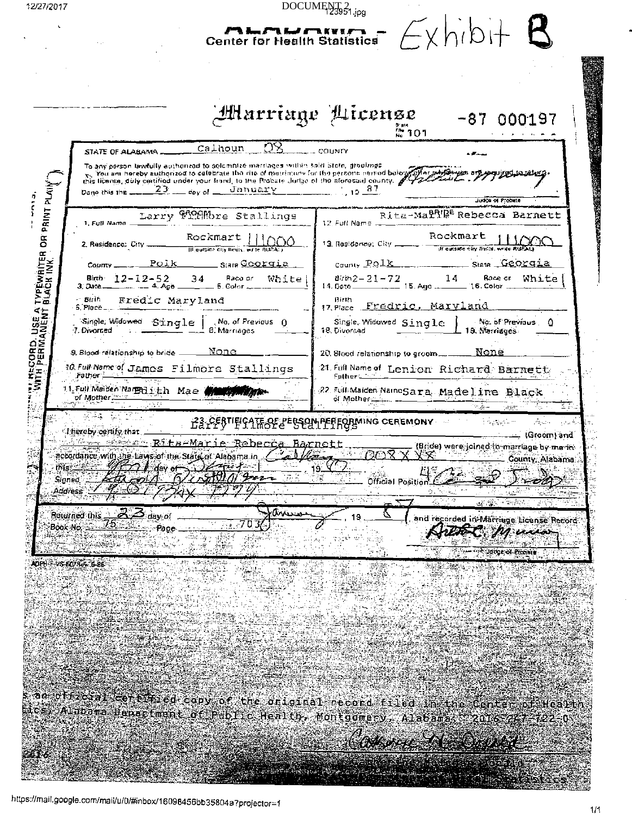| 12/27/2017                                                |                                                                                                                                                                                                                                     | DOCUMENT <sub>23951.jpg</sub>                                                   |                                            |
|-----------------------------------------------------------|-------------------------------------------------------------------------------------------------------------------------------------------------------------------------------------------------------------------------------------|---------------------------------------------------------------------------------|--------------------------------------------|
|                                                           | <b>Center for Health Statistics</b>                                                                                                                                                                                                 |                                                                                 | FxhibH                                     |
|                                                           |                                                                                                                                                                                                                                     |                                                                                 |                                            |
|                                                           |                                                                                                                                                                                                                                     |                                                                                 |                                            |
|                                                           |                                                                                                                                                                                                                                     |                                                                                 |                                            |
|                                                           |                                                                                                                                                                                                                                     | Altarriage Alicense<br>$\frac{1}{N_0}$ 101                                      | $-87000197$                                |
| STATE OF ALABAMA.                                         | OR,<br>Calhoun                                                                                                                                                                                                                      | county                                                                          |                                            |
|                                                           | To any person lawfully authorized to selemnize marriages within sold State, gradings<br>You are hereby authorized to catebrate the citie of matrimure for the persons named balow and the parties of the personal and the series of |                                                                                 |                                            |
| Dano this the ___                                         | this license, duly contified under your frand, to the Probate Judge of the aforesaid county. 142 and 1<br>$January$ $1927$<br>$23$ coy of $-$                                                                                       |                                                                                 |                                            |
|                                                           |                                                                                                                                                                                                                                     |                                                                                 | Judie of Probate                           |
| 1. Full Name _                                            | Larry HOMMbre Stallings                                                                                                                                                                                                             | $12.$ Full Name $\pm$                                                           | Ritz-Ma <sup>gnige</sup> Rebecca Barnett   |
| 2. Residence: City.                                       | Rockmart<br>Ill quiside city limits, while RUPAC)                                                                                                                                                                                   | 13. Residence: City ______ machine cay mass, write RUPAU                        | Rockmart                                   |
| <u>Polk</u><br>County _                                   | <u>— Stara Coorqia —</u>                                                                                                                                                                                                            | County POIK                                                                     | State Georgia                              |
| Birth 12-12-52<br>Date 12-12-4 Age 1<br>$3.$ Date $-$     | Rado or<br>34<br>White<br>$-5$ Color $-$                                                                                                                                                                                            | $B$ irin 2 - 21 - 72<br>14. Dete _____________ 15. Ago __________ 16. Color ___ | Race or<br>14<br>White                     |
| - Birìh<br>- 6. Place ____ _                              | Fredic Maryland                                                                                                                                                                                                                     | Birth<br>17 Flace Fredric, Maryland                                             |                                            |
| CORD, USE A TYPEWRITER OR PRINT PLAIN<br>7. Divorced      | Single Widowed Single   No. of Previous 0<br>8. Marriages                                                                                                                                                                           | Single, Widowed Single<br>18. Divorced                                          | No of Previous ()<br>19. Marriages         |
| 9. Blood relationship to bride                            | None -                                                                                                                                                                                                                              | $20.8$ lood relationship to groom $\_\_$                                        | None                                       |
| Father ____                                               | 10 Full Name of James Filmore Stallings                                                                                                                                                                                             | 24. Full Name of Lenion Richard Barnett                                         |                                            |
| יובוצי<br>קלייקי<br>11. Full Maider Nar Bilith Mae Mary M |                                                                                                                                                                                                                                     | Father ______<br>22 Full Maiden NameSara, Madeline Black                        |                                            |
|                                                           |                                                                                                                                                                                                                                     | of Mother                                                                       |                                            |
| Libereby certify that                                     |                                                                                                                                                                                                                                     | <b>TEOP 2 ESSECULTER FORMING CEREMONY</b>                                       | 上の大切のよう<br>المتوقان<br>فيرد<br> Groom) and |
|                                                           | accordance with the Laws of the State of Alabama in 22                                                                                                                                                                              | YX.                                                                             | (Bride) were joined (a marriage by me for  |
| <u>- HFA V</u> dev of                                     | Den to<br>CHI 77 4                                                                                                                                                                                                                  |                                                                                 | County: Alabama<br>母シベスト国<br>ာ -           |
| Signed.<br><b>Address</b>                                 |                                                                                                                                                                                                                                     | Official Position.                                                              |                                            |
| Returned this<br><u>A Say</u> of                          | rannes                                                                                                                                                                                                                              | 新西<br>19                                                                        | 医中间                                        |
| Book No.<br>- Pace                                        |                                                                                                                                                                                                                                     |                                                                                 | and recorded in Marriage License Record    |
|                                                           |                                                                                                                                                                                                                                     |                                                                                 | www.childtor.ol.Prosers                    |
| ADPHF-VS-607Rev 6-86                                      |                                                                                                                                                                                                                                     |                                                                                 |                                            |
|                                                           |                                                                                                                                                                                                                                     |                                                                                 |                                            |
|                                                           |                                                                                                                                                                                                                                     |                                                                                 |                                            |
|                                                           |                                                                                                                                                                                                                                     |                                                                                 |                                            |
|                                                           |                                                                                                                                                                                                                                     |                                                                                 |                                            |
| <u>e de la 1955</u>                                       |                                                                                                                                                                                                                                     |                                                                                 |                                            |
|                                                           |                                                                                                                                                                                                                                     |                                                                                 |                                            |
|                                                           | s an official certains copy of the original record filed in the Center of Health<br>bics Alabara lenacturat of Public Health, Montgomery, Alabama, 2016-247-122-0                                                                   |                                                                                 |                                            |
|                                                           |                                                                                                                                                                                                                                     |                                                                                 |                                            |

**Control Control** 

ħ

Gestad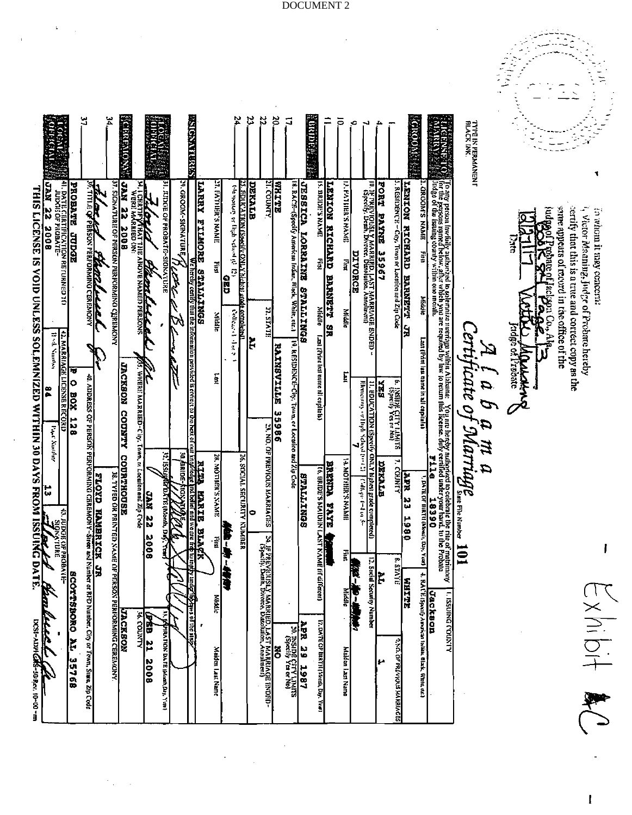|                                                                        |                                                                         |                                                                            | ین<br>نہ |                                                                                                                                                                                                                                                                                                                                 | Ä,                                                                     | <b>KRIGHTOM</b>                                          |                                                  |                                                  |                              | SOMBILISM                                                          |                                   | 54                                                         | ಜ                                                       | 22                                                                                               | š,                          | $\Box$                                                  | <b>Waliofani</b>                                                                                              |                                               | ≓                                | ō.                                    | ×,<br>┙                                                                                                         | ه                                     |                                                    | $\mathbb{N}_{\{1\}}$ (Noon: ) |                                                                |                                                                                                                                                                                                                               | TYTE IX INK<br>TYTE IX INK.<br>Black INK. |                             |                                                                              |                                                                                                                              |  |
|------------------------------------------------------------------------|-------------------------------------------------------------------------|----------------------------------------------------------------------------|----------|---------------------------------------------------------------------------------------------------------------------------------------------------------------------------------------------------------------------------------------------------------------------------------------------------------------------------------|------------------------------------------------------------------------|----------------------------------------------------------|--------------------------------------------------|--------------------------------------------------|------------------------------|--------------------------------------------------------------------|-----------------------------------|------------------------------------------------------------|---------------------------------------------------------|--------------------------------------------------------------------------------------------------|-----------------------------|---------------------------------------------------------|---------------------------------------------------------------------------------------------------------------|-----------------------------------------------|----------------------------------|---------------------------------------|-----------------------------------------------------------------------------------------------------------------|---------------------------------------|----------------------------------------------------|-------------------------------|----------------------------------------------------------------|-------------------------------------------------------------------------------------------------------------------------------------------------------------------------------------------------------------------------------|-------------------------------------------|-----------------------------|------------------------------------------------------------------------------|------------------------------------------------------------------------------------------------------------------------------|--|
| <b>THIS LICENSE</b><br>$\overline{\overline{a}}$<br><b>VOID UNLESS</b> | 41. DATE CERTIFICATION RETURNED 10<br>JUDGE OF PROBATE<br>22 KW<br>800E | PROBATE STROES                                                             |          | The law and Physician Crackson                                                                                                                                                                                                                                                                                                  | <b>37. SIGNATIOR IDER PERSON PERICRAING CLERENCEY</b>                  | KVE<br>h)<br><b>2008</b>                                 | <b>TELORIALISTIC</b><br><b><i>TTAPALLACA</i></b> | . KUDGE OF FROBATE-SIOKATLEE                     | 39. GROOM-SIGNATURE<br>-7417 | LARRY FILMORE STALLINGS SOMETHER STRAND Provided is consert to the | <b>JLATHIER'S NAMIL</b><br>퉯      | the world's evidence when it is<br>$\overline{\text{cap}}$ | ひかえとける<br><b>REDUCATION (Specify ONLY ) helter) are</b> |                                                                                                  | <b>RRETTE</b>               |                                                         | <b>JESSICA LORRAINS STATEN</b><br>18. RACE-(Specify Annerican Indian, Flock, White, etc.)<br><b>BONITIVLS</b> | 15. DRIDP'S NAME<br>En la                     | <b>LENTON</b><br>RICHARD BARNETT | <b>SPAYS STRIPS PART</b><br>$\vec{a}$ | II), IF FRIEVIOUSLY MARRIED, LAST MARRIAGE ENDED<br>CEPREVIOUSLY MARRIED, LAST MARRIAGE ENDED<br><b>DIVORCE</b> | <b>FORT</b><br><b>EATAIR</b><br>35967 | J. RESIDENCE - City, Tewn or Loration and Zin Code | LENION RICHARD BARNETT        | LONDON'S NAME<br>44<br>Middle                                  | To any person towfully authorized to solemnize martiage within Alabama: You are hereby authorized to celebrate the rite of mutninony for the Probate of the Probate of the Probate of the Probate of the Probate of the Proba |                                           | ž                           | same appears of record in the office of the<br><b>Teles al 900 de provis</b> | certify that this is a true and correct copy as the<br>1, Victor Maaning, Judge of Frobnte hereby<br>in whom it may cencern: |  |
|                                                                        | Į<br>Vanishesi                                                          | <b>42. MARRIAGE</b><br>Ħ<br><b>LICINE RECORD</b><br>۰<br>XOE<br><b>128</b> |          |                                                                                                                                                                                                                                                                                                                                 |                                                                        | 85. WHERI; МАRRIED-City.<br><b>JACKBON</b>               |                                                  |                                                  | W<br><b>KK</b>               |                                                                    | Nitate<br>ā                       | Colleged date                                              | completed)<br>려                                         | <b>ALTITUDE</b>                                                                                  | <b>EVITIBALIVE</b><br>33986 | 19. RESIDENCE-City, Town, or Loculon and                |                                                                                                               | Middle<br>Last (Print lest reme n'i capitals) | 9R                               | Middle<br>Ē                           | Elementary                                                                                                      | <b>FIX</b>                            | ۴,<br><b>DAN CLITY LIMITS</b>                      | <b>SR</b>                     | Last (Print last name in all capitals)                         |                                                                                                                                                                                                                               |                                           | cidge of Probate<br>MAKALAN | Fallow Co. Alpe                                                              |                                                                                                                              |  |
| $\frac{34}{\text{SOLEMN(2ED WITHIN 30 DANSI RCONI ISCOM ISCUMCO ATE}$  | $\overline{\epsilon}$<br><b>Souther</b>                                 |                                                                            |          | $\alpha$ , $\alpha$ posts so $\alpha$ products and $\alpha$ and $\alpha$ and $\alpha$ and $\alpha$ and $\alpha$ and $\alpha$ and $\alpha$ and $\alpha$ and $\alpha$ and $\alpha$ and $\alpha$ and $\alpha$ and $\alpha$ and $\alpha$ and $\alpha$ and $\alpha$ and $\alpha$ and $\alpha$ and $\alpha$ and $\alpha$ and $\alpha$ | <b>38. TYPED OR PRINTED NAME</b>                                       | CODINTY<br>Town, in Location and Zip Crose<br>COURTHOUSE | ZZ NVC                                           | 12. ISSUJARADATE (Monh,<br>å                     | š<br>harpe,<br>kor⁄          | r<br>Hil<br>E<br>nd belief and<br><b>MARIE</b><br><b>BLACK</b>     | <b>28. MOTHER'S NAME</b><br>Ellis | Ţ                                                          | <b>26. SOCIAL SECURITY NUMBER</b><br>۰                  | 23. NO. OF PREVIOUS MARRIAGES                                                                    |                             |                                                         | <b>BTALLINGS</b><br>dZipCode                                                                                  | <b>16. BRIDE'S MAIDIN LAST</b>                | <b>BRENDA</b><br><b>HYXE</b>     | <b>THAN SYSTEM AND</b>                | 1. BDUCATION (Specify ONLY hiphen grade completed)<br>Honemay or High Scheel (1992) [Calkger L=4 to 3-          | <b>RTYXZC</b>                         | ÷.<br><b>COUNTY</b>                                | MAX<br>23<br>1980             | <b>F116</b><br>1, DATE OF BIRTH (Meal), Day, Year<br>18390     |                                                                                                                                                                                                                               | A l a b a m a<br>ertificate of Marriage   |                             |                                                                              |                                                                                                                              |  |
|                                                                        | <b>KTURE</b><br>KTURE<br>START<br>$\mathscr{I}$                         | <b>BATE</b><br><b>SCOTTSBORO AL 35768</b>                                  |          |                                                                                                                                                                                                                                                                                                                                 | <b>ANOMERIO DNINNOMAR SOM ANGELIA</b><br>UK PERSON PERIORNINO CEREMONY |                                                          | 300E<br><b>OREB 21</b>                           |                                                  |                              | <u>s of the Lin</u>                                                | Middle                            | ł.<br><b>HAR</b>                                           |                                                         | 24. JF PREVIOUSLY MARRIED, LAST MARRIAGE ENDED-<br>CSpecify, Death, Divorce, Dasoluion, Annument | ā                           |                                                         |                                                                                                               | <b>KAM</b><br>E (if different)                |                                  |                                       | p<br><b>Right</b>                                                                                               | AL.<br>Sneid Security Number          | <b>یې</b><br><b>STATE</b>                          | <b>WHITE</b>                  | 4. RAUE (Spauly Arorican Indian, fllack, White or.)<br>Jackson | <b>LIXIO DNINESI</b> 1                                                                                                                                                                                                        | IOI                                       |                             |                                                                              | $\geq$ X ni bit                                                                                                              |  |
|                                                                        |                                                                         |                                                                            |          |                                                                                                                                                                                                                                                                                                                                 |                                                                        |                                                          | $rac{2008}{1}$                                   | I. <b>gépira i lois Da l'E i Musik Day.</b> Yani |                              |                                                                    | Maiden Last Name                  |                                                            |                                                         |                                                                                                  |                             | APR 29 1987<br>P. District Vilvins<br>P. Specify Livins |                                                                                                               | 7. DATE OF BIRTH (Month, Day, Year)           |                                  | Maiden Last Name                      |                                                                                                                 |                                       | <b>0. NO. OF FROUGLAN MARIAGES</b>                 |                               |                                                                |                                                                                                                                                                                                                               |                                           |                             |                                                                              |                                                                                                                              |  |

 $\pmb{\mathsf{l}}$ 

DOCUMENT 2

 $\ddot{\phantom{0}}$  $\sim$ 

 $\ddot{\phantom{0}}$